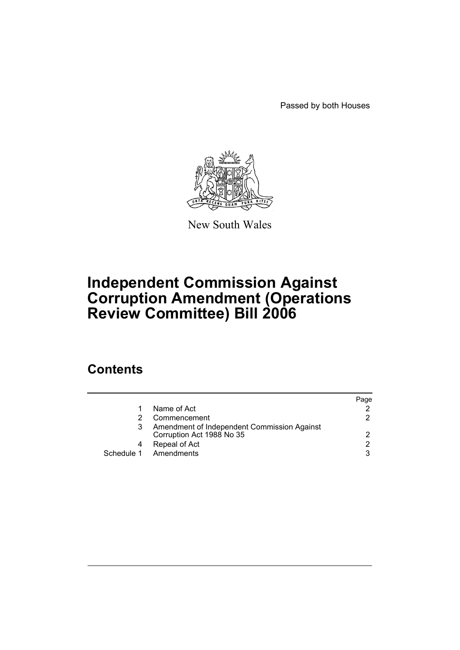Passed by both Houses



New South Wales

# **Independent Commission Against Corruption Amendment (Operations Review Committee) Bill 2006**

## **Contents**

|   |                                                                          | Paqe |
|---|--------------------------------------------------------------------------|------|
|   | Name of Act                                                              |      |
|   | Commencement                                                             | 2    |
|   | Amendment of Independent Commission Against<br>Corruption Act 1988 No 35 | 2    |
| 4 | Repeal of Act                                                            | 2    |
|   | Schedule 1 Amendments                                                    | 3    |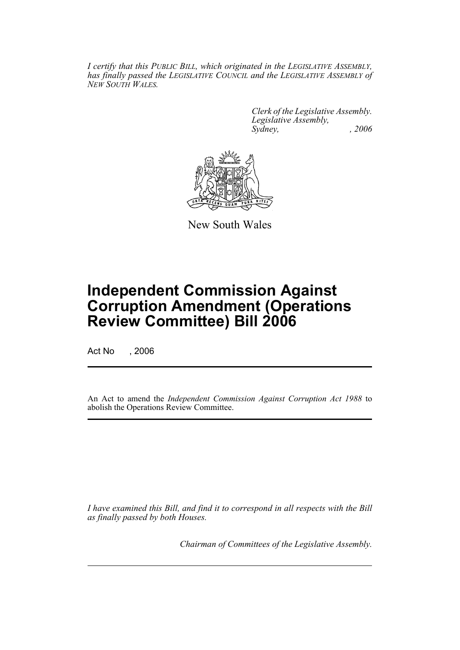*I certify that this PUBLIC BILL, which originated in the LEGISLATIVE ASSEMBLY, has finally passed the LEGISLATIVE COUNCIL and the LEGISLATIVE ASSEMBLY of NEW SOUTH WALES.*

> *Clerk of the Legislative Assembly. Legislative Assembly, Sydney, , 2006*



New South Wales

## **Independent Commission Against Corruption Amendment (Operations Review Committee) Bill 2006**

Act No . 2006

An Act to amend the *Independent Commission Against Corruption Act 1988* to abolish the Operations Review Committee.

*I have examined this Bill, and find it to correspond in all respects with the Bill as finally passed by both Houses.*

*Chairman of Committees of the Legislative Assembly.*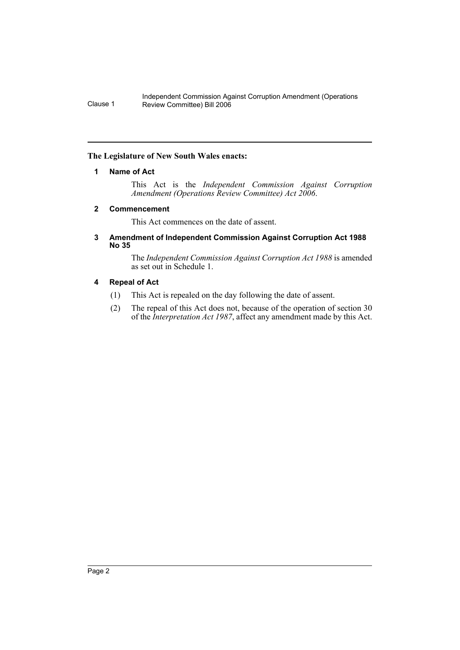#### Independent Commission Against Corruption Amendment (Operations Clause 1 Review Committee) Bill 2006

#### **The Legislature of New South Wales enacts:**

#### **1 Name of Act**

This Act is the *Independent Commission Against Corruption Amendment (Operations Review Committee) Act 2006*.

#### **2 Commencement**

This Act commences on the date of assent.

#### **3 Amendment of Independent Commission Against Corruption Act 1988 No 35**

The *Independent Commission Against Corruption Act 1988* is amended as set out in Schedule 1.

#### **4 Repeal of Act**

- (1) This Act is repealed on the day following the date of assent.
- (2) The repeal of this Act does not, because of the operation of section 30 of the *Interpretation Act 1987*, affect any amendment made by this Act.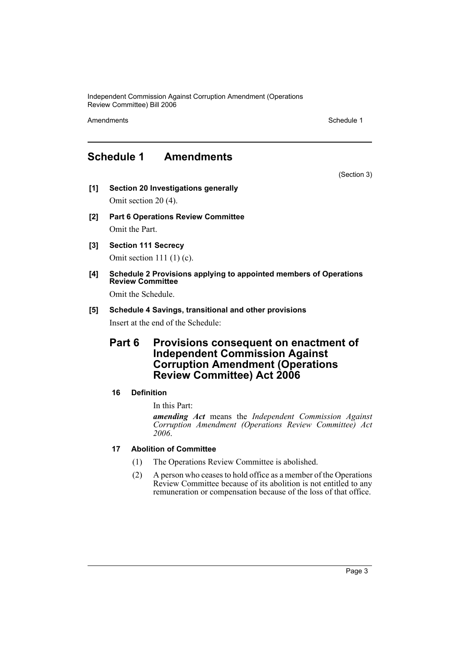Independent Commission Against Corruption Amendment (Operations Review Committee) Bill 2006

Amendments **Schedule 1** and the set of the set of the set of the set of the set of the set of the set of the set of the set of the set of the set of the set of the set of the set of the set of the set of the set of the set

### **Schedule 1 Amendments**

(Section 3)

- **[1] Section 20 Investigations generally** Omit section 20 (4).
- **[2] Part 6 Operations Review Committee** Omit the Part.
- **[3] Section 111 Secrecy**

Omit section 111 (1) (c).

**[4] Schedule 2 Provisions applying to appointed members of Operations Review Committee**

Omit the Schedule.

#### **[5] Schedule 4 Savings, transitional and other provisions** Insert at the end of the Schedule:

### **Part 6 Provisions consequent on enactment of Independent Commission Against Corruption Amendment (Operations Review Committee) Act 2006**

#### **16 Definition**

In this Part:

*amending Act* means the *Independent Commission Against Corruption Amendment (Operations Review Committee) Act 2006*.

#### **17 Abolition of Committee**

- (1) The Operations Review Committee is abolished.
- (2) A person who ceases to hold office as a member of the Operations Review Committee because of its abolition is not entitled to any remuneration or compensation because of the loss of that office.